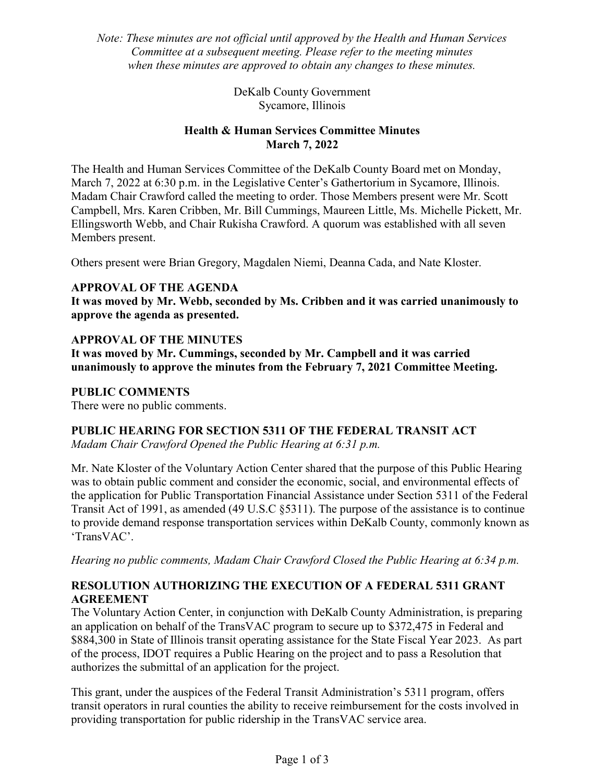Note: These minutes are not official until approved by the Health and Human Services Committee at a subsequent meeting. Please refer to the meeting minutes when these minutes are approved to obtain any changes to these minutes.

> DeKalb County Government Sycamore, Illinois

### Health & Human Services Committee Minutes March 7, 2022

The Health and Human Services Committee of the DeKalb County Board met on Monday, March 7, 2022 at 6:30 p.m. in the Legislative Center's Gathertorium in Sycamore, Illinois. Madam Chair Crawford called the meeting to order. Those Members present were Mr. Scott Campbell, Mrs. Karen Cribben, Mr. Bill Cummings, Maureen Little, Ms. Michelle Pickett, Mr. Ellingsworth Webb, and Chair Rukisha Crawford. A quorum was established with all seven Members present.

Others present were Brian Gregory, Magdalen Niemi, Deanna Cada, and Nate Kloster.

### APPROVAL OF THE AGENDA

It was moved by Mr. Webb, seconded by Ms. Cribben and it was carried unanimously to approve the agenda as presented.

## APPROVAL OF THE MINUTES

It was moved by Mr. Cummings, seconded by Mr. Campbell and it was carried unanimously to approve the minutes from the February 7, 2021 Committee Meeting.

### PUBLIC COMMENTS

There were no public comments.

### PUBLIC HEARING FOR SECTION 5311 OF THE FEDERAL TRANSIT ACT

Madam Chair Crawford Opened the Public Hearing at 6:31 p.m.

Mr. Nate Kloster of the Voluntary Action Center shared that the purpose of this Public Hearing was to obtain public comment and consider the economic, social, and environmental effects of the application for Public Transportation Financial Assistance under Section 5311 of the Federal Transit Act of 1991, as amended (49 U.S.C §5311). The purpose of the assistance is to continue to provide demand response transportation services within DeKalb County, commonly known as 'TransVAC'.

Hearing no public comments, Madam Chair Crawford Closed the Public Hearing at 6:34 p.m.

## RESOLUTION AUTHORIZING THE EXECUTION OF A FEDERAL 5311 GRANT AGREEMENT

The Voluntary Action Center, in conjunction with DeKalb County Administration, is preparing an application on behalf of the TransVAC program to secure up to \$372,475 in Federal and \$884,300 in State of Illinois transit operating assistance for the State Fiscal Year 2023. As part of the process, IDOT requires a Public Hearing on the project and to pass a Resolution that authorizes the submittal of an application for the project.

This grant, under the auspices of the Federal Transit Administration's 5311 program, offers transit operators in rural counties the ability to receive reimbursement for the costs involved in providing transportation for public ridership in the TransVAC service area.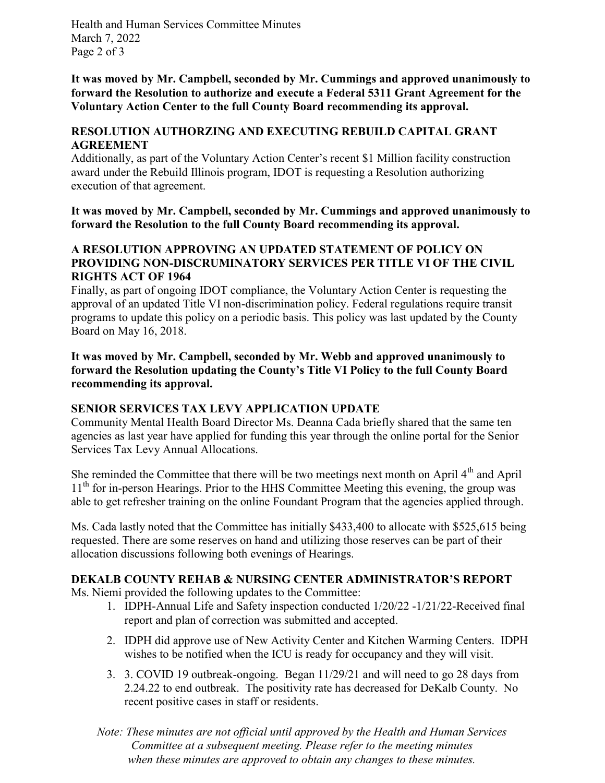Health and Human Services Committee Minutes March 7, 2022 Page 2 of 3

It was moved by Mr. Campbell, seconded by Mr. Cummings and approved unanimously to forward the Resolution to authorize and execute a Federal 5311 Grant Agreement for the Voluntary Action Center to the full County Board recommending its approval.

### RESOLUTION AUTHORZING AND EXECUTING REBUILD CAPITAL GRANT AGREEMENT

Additionally, as part of the Voluntary Action Center's recent \$1 Million facility construction award under the Rebuild Illinois program, IDOT is requesting a Resolution authorizing execution of that agreement.

It was moved by Mr. Campbell, seconded by Mr. Cummings and approved unanimously to forward the Resolution to the full County Board recommending its approval.

#### A RESOLUTION APPROVING AN UPDATED STATEMENT OF POLICY ON PROVIDING NON-DISCRUMINATORY SERVICES PER TITLE VI OF THE CIVIL RIGHTS ACT OF 1964

Finally, as part of ongoing IDOT compliance, the Voluntary Action Center is requesting the approval of an updated Title VI non‐discrimination policy. Federal regulations require transit programs to update this policy on a periodic basis. This policy was last updated by the County Board on May 16, 2018.

It was moved by Mr. Campbell, seconded by Mr. Webb and approved unanimously to forward the Resolution updating the County's Title VI Policy to the full County Board recommending its approval.

### SENIOR SERVICES TAX LEVY APPLICATION UPDATE

Community Mental Health Board Director Ms. Deanna Cada briefly shared that the same ten agencies as last year have applied for funding this year through the online portal for the Senior Services Tax Levy Annual Allocations.

She reminded the Committee that there will be two meetings next month on April  $4<sup>th</sup>$  and April  $11<sup>th</sup>$  for in-person Hearings. Prior to the HHS Committee Meeting this evening, the group was able to get refresher training on the online Foundant Program that the agencies applied through.

Ms. Cada lastly noted that the Committee has initially \$433,400 to allocate with \$525,615 being requested. There are some reserves on hand and utilizing those reserves can be part of their allocation discussions following both evenings of Hearings.

# DEKALB COUNTY REHAB & NURSING CENTER ADMINISTRATOR'S REPORT

Ms. Niemi provided the following updates to the Committee:

- 1. IDPH‐Annual Life and Safety inspection conducted 1/20/22 ‐1/21/22‐Received final report and plan of correction was submitted and accepted.
- 2. IDPH did approve use of New Activity Center and Kitchen Warming Centers. IDPH wishes to be notified when the ICU is ready for occupancy and they will visit.
- 3. 3. COVID 19 outbreak‐ongoing. Began 11/29/21 and will need to go 28 days from 2.24.22 to end outbreak. The positivity rate has decreased for DeKalb County. No recent positive cases in staff or residents.
- Note: These minutes are not official until approved by the Health and Human Services Committee at a subsequent meeting. Please refer to the meeting minutes when these minutes are approved to obtain any changes to these minutes.